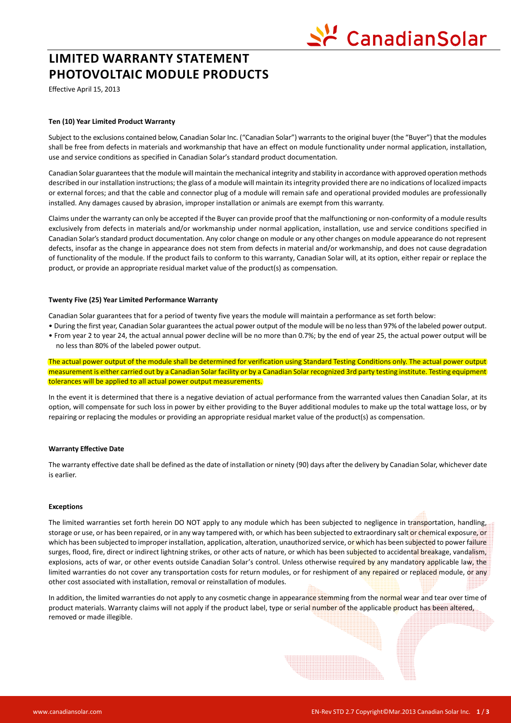# ' CanadianSolar

## **LIMITED WARRANTY STATEMENT PHOTOVOLTAIC MODULE PRODUCTS**

Effective April 15, 2013

### **Ten (10) Year Limited Product Warranty**

Subject to the exclusions contained below, Canadian Solar Inc. ("Canadian Solar") warrants to the original buyer (the "Buyer") that the modules shall be free from defects in materials and workmanship that have an effect on module functionality under normal application, installation, use and service conditions as specified in Canadian Solar's standard product documentation.

Canadian Solar guarantees that the module will maintain the mechanical integrity and stability in accordance with approved operation methods described in our installation instructions; the glass of a module will maintain its integrity provided there are no indications of localized impacts or external forces; and that the cable and connector plug of a module will remain safe and operational provided modules are professionally installed. Any damages caused by abrasion, improper installation or animals are exempt from this warranty.

Claims under the warranty can only be accepted if the Buyer can provide proof that the malfunctioning or non-conformity of a module results exclusively from defects in materials and/or workmanship under normal application, installation, use and service conditions specified in Canadian Solar's standard product documentation. Any color change on module or any other changes on module appearance do not represent defects, insofar as the change in appearance does not stem from defects in material and/or workmanship, and does not cause degradation of functionality of the module. If the product fails to conform to this warranty, Canadian Solar will, at its option, either repair or replace the product, or provide an appropriate residual market value of the product(s) as compensation.

#### **Twenty Five (25) Year Limited Performance Warranty**

Canadian Solar guarantees that for a period of twenty five years the module will maintain a performance as set forth below:

• During the first year, Canadian Solar guarantees the actual power output of the module will be no less than 97% of the labeled power output. • From year 2 to year 24, the actual annual power decline will be no more than 0.7%; by the end of year 25, the actual power output will be no less than 80% of the labeled power output.

The actual power output of the module shall be determined for verification using Standard Testing Conditions only. The actual power output measurement is either carried out by a Canadian Solar facility or by a Canadian Solar recognized 3rd party testing institute. Testing equipment tolerances will be applied to all actual power output measurements.

In the event it is determined that there is a negative deviation of actual performance from the warranted values then Canadian Solar, at its option, will compensate for such loss in power by either providing to the Buyer additional modules to make up the total wattage loss, or by repairing or replacing the modules or providing an appropriate residual market value of the product(s) as compensation.

#### **Warranty Effective Date**

The warranty effective date shall be defined as the date of installation or ninety (90) days after the delivery by Canadian Solar, whichever date is earlier.

#### **Exceptions**

The limited warranties set forth herein DO NOT apply to any module which has been subjected to negligence in transportation, handling, storage or use, or has been repaired, or in any way tampered with, or which has been subjected to extraordinary salt or chemical exposure, or which has been subjected to improper installation, application, alteration, unauthorized service, or which has been subjected to power failure surges, flood, fire, direct or indirect lightning strikes, or other acts of nature, or which has been subjected to accidental breakage, vandalism, explosions, acts of war, or other events outside Canadian Solar's control. Unless otherwise required by any mandatory applicable law, the limited warranties do not cover any transportation costs for return modules, or for reshipment of any repaired or replaced module, or any other cost associated with installation, removal or reinstallation of modules.

In addition, the limited warranties do not apply to any cosmetic change in appearance stemming from the normal wear and tear over time of product materials. Warranty claims will not apply if the product label, type or serial number of the applicable product has been altered, removed or made illegible.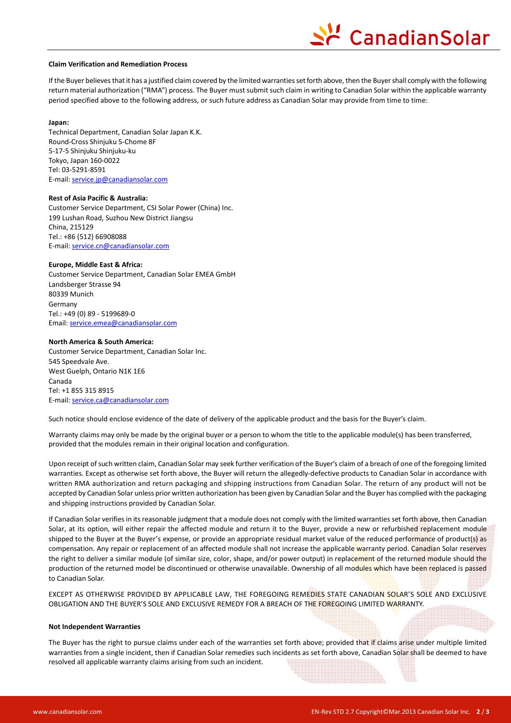# CanadianSolar

#### **Claim Verification and Remediation Process**

If the Buyer believes that it has a justified claim covered by the limited warranties set forth above, then the Buyer shall comply with the following return material authorization ("RMA") process. The Buyer must submit such claim in writing to Canadian Solar within the applicable warranty period specified above to the following address, or such future address as Canadian Solar may provide from time to time:

#### **Japan:**

Technical Department, Canadian Solar Japan K.K. Round-Cross Shinjuku 5-Chome 8F 5-17-5 Shinjuku Shinjuku-ku Tokyo, Japan 160-0022 Tel: 03-5291-8591 E-mail: service.jp@canadiansolar.com

#### **Rest of Asia Pacific & Australia:**

Customer Service Department, CSI Solar Power (China) Inc. 199 Lushan Road, Suzhou New District Jiangsu China, 215129 Tel.: +86 (512) 66908088 E-mail: service.cn@canadiansolar.com

#### **Europe, Middle East & Africa:**

Customer Service Department, Canadian Solar EMEA GmbH Landsberger Strasse 94 80339 Munich Germany Tel.: +49 (0) 89 - 5199689-0 Email: service.emea@canadiansolar.com

#### **North America & South America:**

Customer Service Department, Canadian Solar Inc. 545 Speedvale Ave. West Guelph, Ontario N1K 1E6 Canada Tel: +1 855 315 8915 E-mail: service.ca@canadiansolar.com

Such notice should enclose evidence of the date of delivery of the applicable product and the basis for the Buyer's claim.

Warranty claims may only be made by the original buyer or a person to whom the title to the applicable module(s) has been transferred, provided that the modules remain in their original location and configuration.

Upon receipt of such written claim, Canadian Solar may seek further verification of the Buyer's claim of a breach of one of the foregoing limited warranties. Except as otherwise set forth above, the Buyer will return the allegedly-defective products to Canadian Solar in accordance with written RMA authorization and return packaging and shipping instructions from Canadian Solar. The return of any product will not be accepted by Canadian Solar unless prior written authorization has been given by Canadian Solar and the Buyer has complied with the packaging and shipping instructions provided by Canadian Solar.

If Canadian Solar verifies in its reasonable judgment that a module does not comply with the limited warranties set forth above, then Canadian Solar, at its option, will either repair the affected module and return it to the Buyer, provide a new or refurbished replacement module shipped to the Buyer at the Buyer's expense, or provide an appropriate residual market value of the reduced performance of product(s) as compensation. Any repair or replacement of an affected module shall not increase the applicable warranty period. Canadian Solar reserves the right to deliver a similar module (of similar size, color, shape, and/or power output) in replacement of the returned module should the production of the returned model be discontinued or otherwise unavailable. Ownership of all modules which have been replaced is passed to Canadian Solar.

EXCEPT AS OTHERWISE PROVIDED BY APPLICABLE LAW, THE FOREGOING REMEDIES STATE CANADIAN SOLAR'S SOLE AND EXCLUSIVE OBLIGATION AND THE BUYER'S SOLE AND EXCLUSIVE REMEDY FOR A BREACH OF THE FOREGOING LIMITED WARRANTY.

#### **Not Independent Warranties**

The Buyer has the right to pursue claims under each of the warranties set forth above; provided that if claims arise under multiple limited warranties from a single incident, then if Canadian Solar remedies such incidents as set forth above, Canadian Solar shall be deemed to have resolved all applicable warranty claims arising from such an incident.